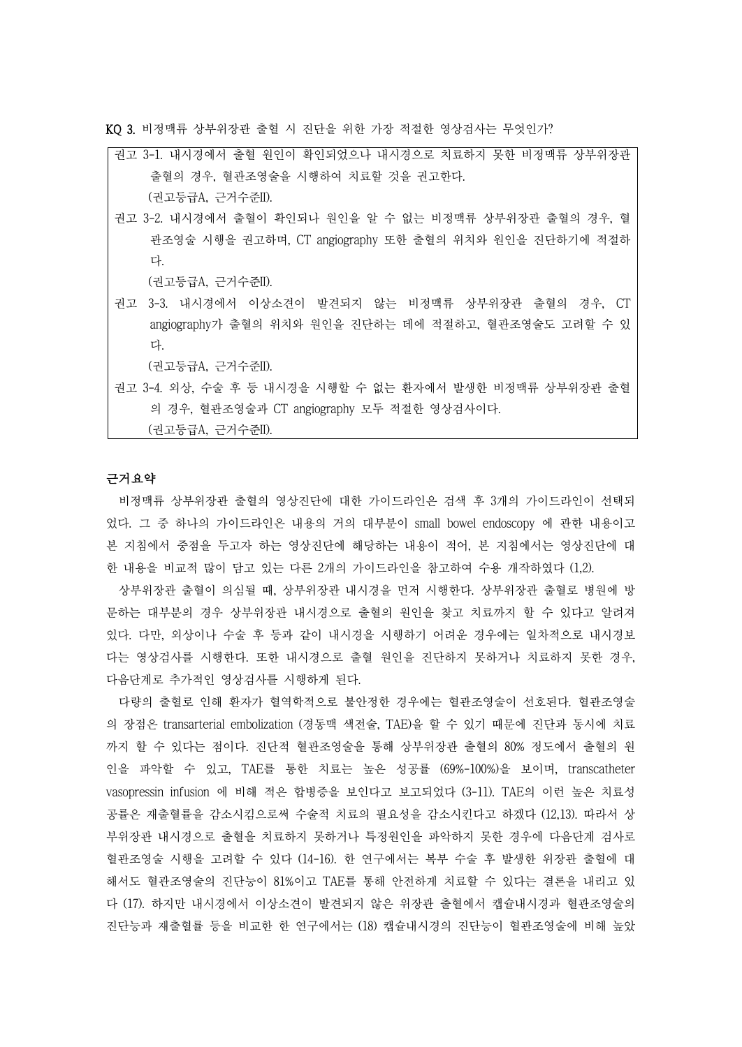KQ 3. 비정맥류 상부위장관 출혈 시 진단을 위한 가장 적절한 영상검사는 무엇인가?

| 권고 3-1. 내시경에서 출혈 원인이 확인되었으나 내시경으로 치료하지 못한 비정맥류 상부위장관   |
|--------------------------------------------------------|
| 출혈의 경우, 혈관조영술을 시행하여 치료할 것을 권고한다.                       |
| (권고등급A, 근거수준II).                                       |
| 권고 3-2. 내시경에서 출혈이 확인되나 원인을 알 수 없는 비정맥류 상부위장관 출혈의 경우, 혈 |
| 관조영술 시행을 권고하며, CT angiography 또한 출혈의 위치와 원인을 진단하기에 적절하 |
| 다.                                                     |
| (권고등급A, 근거수준II).                                       |
| 권고 3-3. 내시경에서 이상소견이 발견되지 않는 비정맥류 상부위장관 출혈의 경우, CT      |

(권고등급A, 근거수준II).

권고 3-4. 외상, 수술 후 등 내시경을 시행할 수 없는 환자에서 발생한 비정맥류 상부위장관 출혈 의 경우, 혈관조영술과 CT angiography 모두 적절한 영상검사이다.

angiography가 출혈의 위치와 원인을 진단하는 데에 적절하고, 혈관조영술도 고려할 수 있

(권고등급A, 근거수준II).

### 근거요약

다.

비정맥류 상부위장관 출혈의 영상진단에 대한 가이드라인은 검색 후 3개의 가이드라인이 선택되 었다. 그 중 하나의 가이드라인은 내용의 거의 대부분이 small bowel endoscopy 에 관한 내용이고 본 지침에서 중점을 두고자 하는 영상진단에 해당하는 내용이 적어, 본 지침에서는 영상진단에 대 한 내용을 비교적 많이 담고 있는 다른 2개의 가이드라인을 참고하여 수용 개작하였다 (1,2).

상부위장관 출혈이 의심될 때, 상부위장관 내시경을 먼저 시행한다. 상부위장관 출혈로 병원에 방 문하는 대부분의 경우 상부위장관 내시경으로 출혈의 원인을 찾고 치료까지 할 수 있다고 알려져 있다. 다만, 외상이나 수술 후 등과 같이 내시경을 시행하기 어려운 경우에는 일차적으로 내시경보 다는 영상검사를 시행한다. 또한 내시경으로 출혈 원인을 진단하지 못하거나 치료하지 못한 경우,<br>다음단계로 추가적인 영상검사를 시행하게 된다.<br>- 다량의 출혈로 인해 환자가 혈역학적으로 불안정한 경우에는 혈관조영술이 선호된다. 혈관조영술

의 장점은 transarterial embolization (경동맥 색전술, TAE)을 할 수 있기 때문에 진단과 동시에 치료 까지 할 수 있다는 점이다. 진단적 혈관조영술을 통해 상부위장관 출혈의 80% 정도에서 출혈의 원 인을 파악할 수 있고, TAE를 통한 치료는 높은 성공률 (69%-100%)을 보이며, transcatheter vasopressin infusion 에 비해 적은 합병증을 보인다고 보고되었다 (3-11). TAE의 이런 높은 치료성 공률은 재출혈률을 감소시킴으로써 수술적 치료의 필요성을 감소시킨다고 하겠다 (12,13). 따라서 상 부위장관 내시경으로 출혈을 치료하지 못하거나 특정원인을 파악하지 못한 경우에 다음단계 검사로 혈관조영술 시행을 고려할 수 있다 (14-16). 한 연구에서는 복부 수술 후 발생한 위장관 출혈에 대 해서도 혈관조영술의 진단능이 81%이고 TAE를 통해 안전하게 치료할 수 있다는 결론을 내리고 있 다 (17). 하지만 내시경에서 이상소견이 발견되지 않은 위장관 출혈에서 캡슐내시경과 혈관조영술의 진단능과 재출혈률 등을 비교한 한 연구에서는 (18) 캡슐내시경의 진단능이 혈관조영술에 비해 높았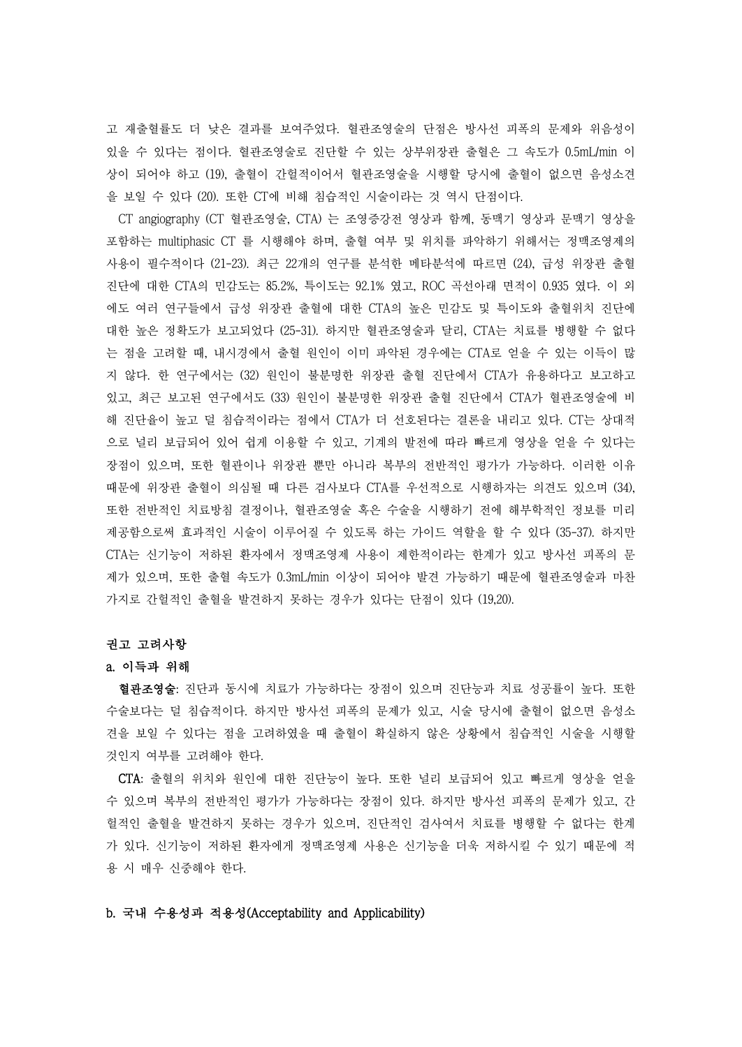고 재출혈률도 더 낮은 결과를 보여주었다. 혈관조영술의 단점은 방사선 피폭의 문제와 위음성이 있을 수 있다는 점이다. 혈관조영술로 진단할 수 있는 상부위장관 출혈은 그 속도가 0.5mL/min 이 상이 되어야 하고 (19), 출혈이 간헐적이어서 혈관조영술을 시행할 당시에 출혈이 없으면 음성소견 을 보일 수 있다 (20). 또한 CT에 비해 침습적인 시술이라는 것 역시 단점이다. CT angiography (CT 혈관조영술, CTA) 는 조영증강전 영상과 함께, 동맥기 영상과 문맥기 영상을

포함하는 multiphasic CT 를 시행해야 하며, 출혈 여부 및 위치를 파악하기 위해서는 정맥조영제의 사용이 필수적이다 (21-23). 최근 22개의 연구를 분석한 메타분석에 따르면 (24), 급성 위장관 출혈 진단에 대한 CTA의 민감도는 85.2%, 특이도는 92.1% 였고, ROC 곡선아래 면적이 0.935 였다. 이 외 에도 여러 연구들에서 급성 위장관 출혈에 대한 CTA의 높은 민감도 및 특이도와 출혈위치 진단에 대한 높은 정확도가 보고되었다 (25-31). 하지만 혈관조영술과 달리, CTA는 치료를 병행할 수 없다 는 점을 고려할 때, 내시경에서 출혈 원인이 이미 파악된 경우에는 CTA로 얻을 수 있는 이득이 많 지 않다. 한 연구에서는 (32) 원인이 불분명한 위장관 출혈 진단에서 CTA가 유용하다고 보고하고 있고, 최근 보고된 연구에서도 (33) 원인이 불분명한 위장관 출혈 진단에서 CTA가 혈관조영술에 비 해 진단율이 높고 덜 침습적이라는 점에서 CTA가 더 선호된다는 결론을 내리고 있다. CT는 상대적 으로 널리 보급되어 있어 쉽게 이용할 수 있고, 기계의 발전에 따라 빠르게 영상을 얻을 수 있다는 장점이 있으며, 또한 혈관이나 위장관 뿐만 아니라 복부의 전반적인 평가가 가능하다. 이러한 이유 때문에 위장관 출혈이 의심될 때 다른 검사보다 CTA를 우선적으로 시행하자는 의견도 있으며 (34), 또한 전반적인 치료방침 결정이나, 혈관조영술 혹은 수술을 시행하기 전에 해부학적인 정보를 미리 제공함으로써 효과적인 시술이 이루어질 수 있도록 하는 가이드 역할을 할 수 있다 (35-37). 하지만 CTA는 신기능이 저하된 환자에서 정맥조영제 사용이 제한적이라는 한계가 있고 방사선 피폭의 문 제가 있으며, 또한 출혈 속도가 0.3mL/min 이상이 되어야 발견 가능하기 때문에 혈관조영술과 마찬 가지로 간헐적인 출혈을 발견하지 못하는 경우가 있다는 단점이 있다 (19,20).

#### 권고 고려사항

#### a. 이득과 위해

혈관조영술: 진단과 동시에 치료가 가능하다는 장점이 있으며 진단능과 치료 성공률이 높다. 또한 수술보다는 덜 침습적이다. 하지만 방사선 피폭의 문제가 있고, 시술 당시에 출혈이 없으면 음성소 견을 보일 수 있다는 점을 고려하였을 때 출혈이 확실하지 않은 상황에서 침습적인 시술을 시행할

것인지 여부를 고려해야 한다.<br>-<br>CTA: 출혈의 위치와 원인에 대한 진단능이 높다. 또한 널리 보급되어 있고 빠르게 영상을 얻을 수 있으며 복부의 전반적인 평가가 가능하다는 장점이 있다. 하지만 방사선 피폭의 문제가 있고, 간 헐적인 출혈을 발견하지 못하는 경우가 있으며, 진단적인 검사여서 치료를 병행할 수 없다는 한계 가 있다. 신기능이 저하된 환자에게 정맥조영제 사용은 신기능을 더욱 저하시킬 수 있기 때문에 적 용 시 매우 신중해야 한다.

## b. 국내 수용성과 적용성(Acceptability and Applicability)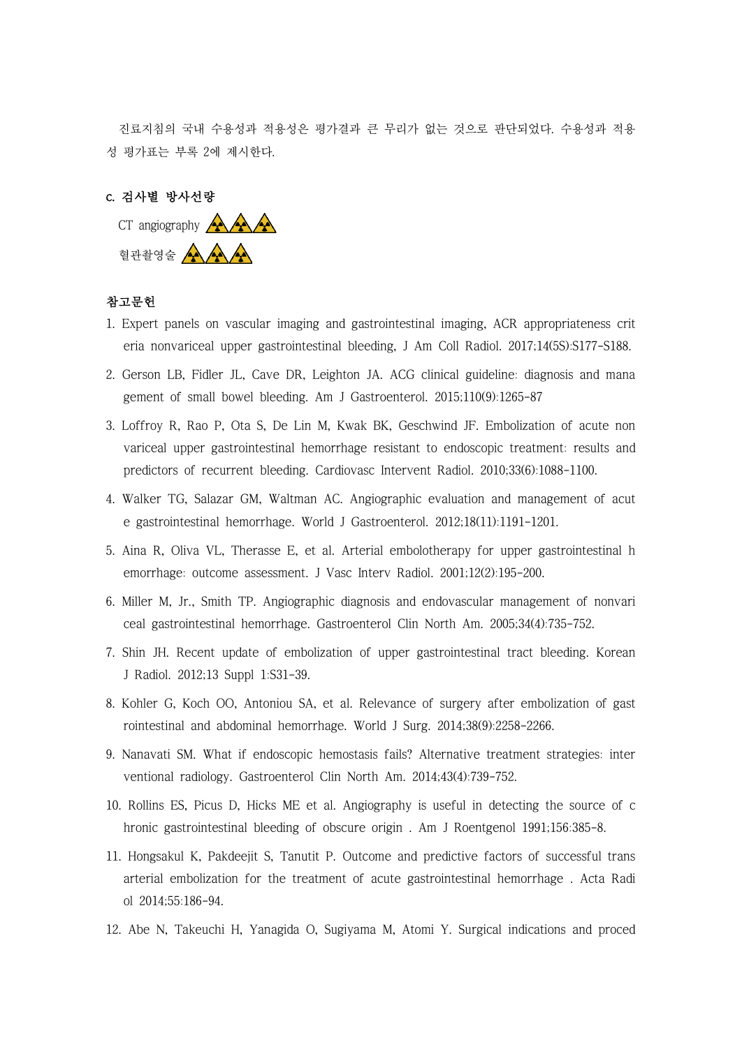진료지침의 국내 수용성과 적용성은 평가결과 큰 무리가 없는 것으로 판단되었다. 수용성과 적용 성 평가표는 부록 2에 제시한다.



# 참고문헌

- 1. Expert panels on vascular imaging and gastrointestinal imaging, ACR appropriateness crit eria nonvariceal upper gastrointestinal bleeding, J Am Coll Radiol. 2017;14(5S):S177-S188.
- 2. Gerson LB, Fidler JL, Cave DR, Leighton JA. ACG clinical guideline: diagnosis and mana gement of small bowel bleeding. Am J Gastroenterol. 2015;110(9):1265-87
- 3. Loffroy R, Rao P, Ota S, De Lin M, Kwak BK, Geschwind JF. Embolization of acute non variceal upper gastrointestinal hemorrhage resistant to endoscopic treatment: results and predictors of recurrent bleeding. Cardiovasc Intervent Radiol. 2010;33(6):1088-1100.
- 4. Walker TG, Salazar GM, Waltman AC. Angiographic evaluation and management of acut e gastrointestinal hemorrhage. World J Gastroenterol. 2012;18(11):1191-1201.
- 5. Aina R, Oliva VL, Therasse E, et al. Arterial embolotherapy for upper gastrointestinal h emorrhage: outcome assessment. J Vasc Interv Radiol. 2001;12(2):195-200.
- 6. Miller M, Jr., Smith TP. Angiographic diagnosis and endovascular management of nonvari ceal gastrointestinal hemorrhage. Gastroenterol Clin North Am. 2005;34(4):735-752.
- 7. Shin JH. Recent update of embolization of upper gastrointestinal tract bleeding. Korean J Radiol. 2012;13 Suppl 1:S31-39.
- 8. Kohler G, Koch OO, Antoniou SA, et al. Relevance of surgery after embolization of gast rointestinal and abdominal hemorrhage. World J Surg. 2014;38(9):2258-2266.
- 9. Nanavati SM. What if endoscopic hemostasis fails? Alternative treatment strategies: inter ventional radiology. Gastroenterol Clin North Am. 2014;43(4):739-752.
- 10. Rollins ES, Picus D, Hicks ME et al. Angiography is useful in detecting the source of c hronic gastrointestinal bleeding of obscure origin . Am J Roentgenol 1991;156:385-8.
- 11. Hongsakul K, Pakdeejit S, Tanutit P. Outcome and predictive factors of successful trans arterial embolization for the treatment of acute gastrointestinal hemorrhage . Acta Radi ol 2014;55:186-94.
- 12. Abe N, Takeuchi H, Yanagida O, Sugiyama M, Atomi Y. Surgical indications and proced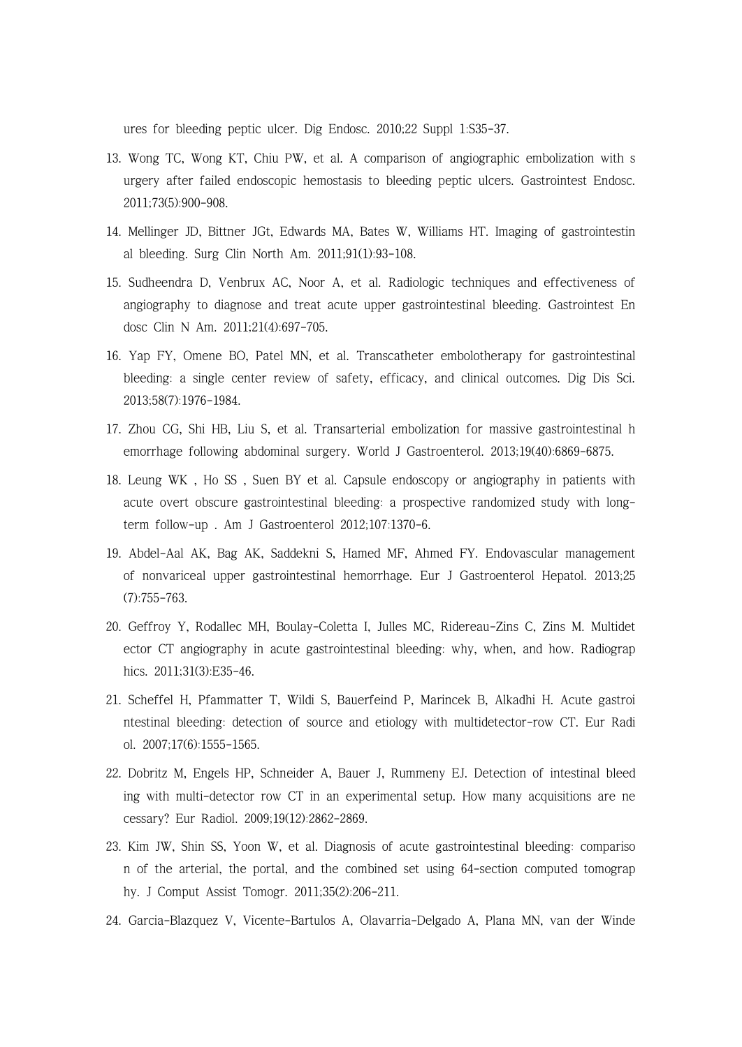ures for bleeding peptic ulcer. Dig Endosc. 2010;22 Suppl 1:S35-37.

- 13. Wong TC, Wong KT, Chiu PW, et al. A comparison of angiographic embolization with s urgery after failed endoscopic hemostasis to bleeding peptic ulcers. Gastrointest Endosc. 2011;73(5):900-908.
- 14. Mellinger JD, Bittner JGt, Edwards MA, Bates W, Williams HT. Imaging of gastrointestin al bleeding. Surg Clin North Am. 2011;91(1):93-108.
- 15. Sudheendra D, Venbrux AC, Noor A, et al. Radiologic techniques and effectiveness of angiography to diagnose and treat acute upper gastrointestinal bleeding. Gastrointest En dosc Clin N Am. 2011;21(4):697-705.
- 16. Yap FY, Omene BO, Patel MN, et al. Transcatheter embolotherapy for gastrointestinal bleeding: a single center review of safety, efficacy, and clinical outcomes. Dig Dis Sci. 2013;58(7):1976-1984.
- 17. Zhou CG, Shi HB, Liu S, et al. Transarterial embolization for massive gastrointestinal h emorrhage following abdominal surgery. World J Gastroenterol. 2013;19(40):6869-6875.
- 18. Leung WK , Ho SS , Suen BY et al. Capsule endoscopy or angiography in patients with acute overt obscure gastrointestinal bleeding: a prospective randomized study with longterm follow-up . Am J Gastroenterol 2012;107:1370-6.
- 19. Abdel-Aal AK, Bag AK, Saddekni S, Hamed MF, Ahmed FY. Endovascular management of nonvariceal upper gastrointestinal hemorrhage. Eur J Gastroenterol Hepatol. 2013;25 (7):755-763.
- 20. Geffroy Y, Rodallec MH, Boulay-Coletta I, Julles MC, Ridereau-Zins C, Zins M. Multidet ector CT angiography in acute gastrointestinal bleeding: why, when, and how. Radiograp hics. 2011;31(3):E35-46.
- 21. Scheffel H, Pfammatter T, Wildi S, Bauerfeind P, Marincek B, Alkadhi H. Acute gastroi ntestinal bleeding: detection of source and etiology with multidetector-row CT. Eur Radi ol. 2007;17(6):1555-1565.
- 22. Dobritz M, Engels HP, Schneider A, Bauer J, Rummeny EJ. Detection of intestinal bleed ing with multi-detector row CT in an experimental setup. How many acquisitions are ne cessary? Eur Radiol. 2009;19(12):2862-2869.
- 23. Kim JW, Shin SS, Yoon W, et al. Diagnosis of acute gastrointestinal bleeding: compariso n of the arterial, the portal, and the combined set using 64-section computed tomograp hy. J Comput Assist Tomogr. 2011;35(2):206-211.
- 24. Garcia-Blazquez V, Vicente-Bartulos A, Olavarria-Delgado A, Plana MN, van der Winde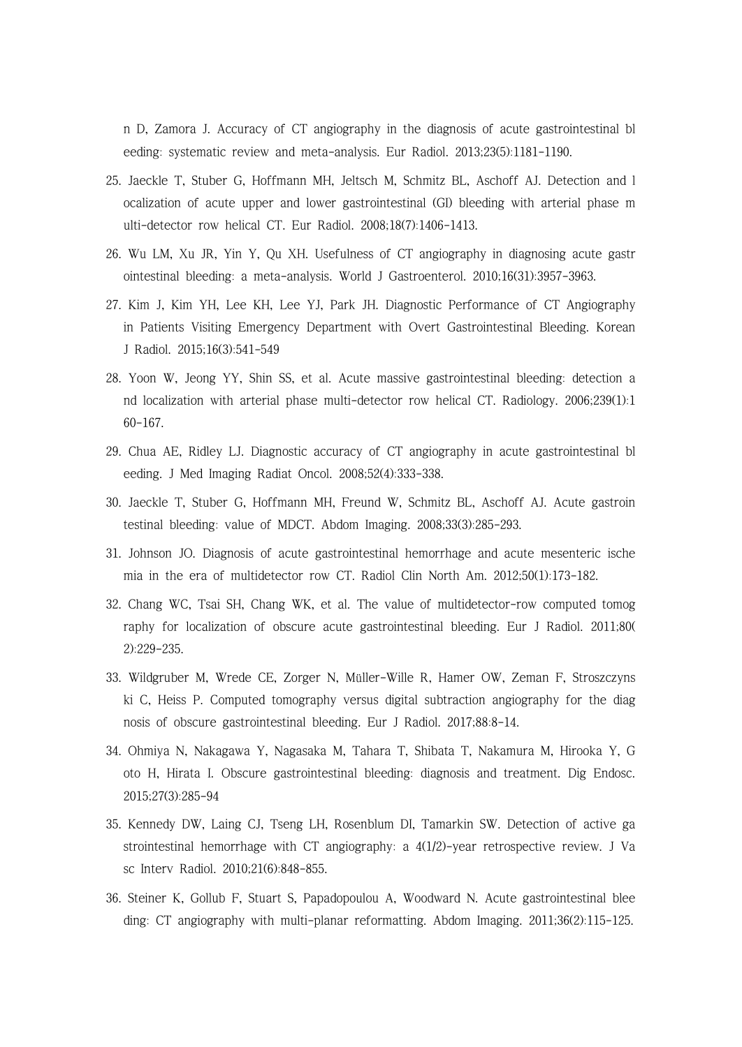n D, Zamora J. Accuracy of CT angiography in the diagnosis of acute gastrointestinal bl eeding: systematic review and meta-analysis. Eur Radiol. 2013;23(5):1181-1190.

- 25. Jaeckle T, Stuber G, Hoffmann MH, Jeltsch M, Schmitz BL, Aschoff AJ. Detection and l ocalization of acute upper and lower gastrointestinal (GI) bleeding with arterial phase m ulti-detector row helical CT. Eur Radiol. 2008;18(7):1406-1413.
- 26. Wu LM, Xu JR, Yin Y, Qu XH. Usefulness of CT angiography in diagnosing acute gastr ointestinal bleeding: a meta-analysis. World J Gastroenterol. 2010;16(31):3957-3963.
- 27. Kim J, Kim YH, Lee KH, Lee YJ, Park JH. Diagnostic Performance of CT Angiography in Patients Visiting Emergency Department with Overt Gastrointestinal Bleeding. Korean J Radiol. 2015;16(3):541-549
- 28. Yoon W, Jeong YY, Shin SS, et al. Acute massive gastrointestinal bleeding: detection a nd localization with arterial phase multi-detector row helical CT. Radiology. 2006;239(1):1 60-167.
- 29. Chua AE, Ridley LJ. Diagnostic accuracy of CT angiography in acute gastrointestinal bl eeding. J Med Imaging Radiat Oncol. 2008;52(4):333-338.
- 30. Jaeckle T, Stuber G, Hoffmann MH, Freund W, Schmitz BL, Aschoff AJ. Acute gastroin testinal bleeding: value of MDCT. Abdom Imaging. 2008;33(3):285-293.
- 31. Johnson JO. Diagnosis of acute gastrointestinal hemorrhage and acute mesenteric ische mia in the era of multidetector row CT. Radiol Clin North Am. 2012;50(1):173-182.
- 32. Chang WC, Tsai SH, Chang WK, et al. The value of multidetector-row computed tomog raphy for localization of obscure acute gastrointestinal bleeding. Eur J Radiol. 2011;80( 2):229-235.
- 33. Wildgruber M, Wrede CE, Zorger N, Müller-Wille R, Hamer OW, Zeman F, Stroszczyns ki C, Heiss P. Computed tomography versus digital subtraction angiography for the diag nosis of obscure gastrointestinal bleeding. Eur J Radiol. 2017;88:8-14.
- 34. Ohmiya N, Nakagawa Y, Nagasaka M, Tahara T, Shibata T, Nakamura M, Hirooka Y, G oto H, Hirata I. Obscure gastrointestinal bleeding: diagnosis and treatment. Dig Endosc. 2015;27(3):285-94
- 35. Kennedy DW, Laing CJ, Tseng LH, Rosenblum DI, Tamarkin SW. Detection of active ga strointestinal hemorrhage with CT angiography: a 4(1/2)-year retrospective review. J Va sc Interv Radiol. 2010;21(6):848-855.
- 36. Steiner K, Gollub F, Stuart S, Papadopoulou A, Woodward N. Acute gastrointestinal blee ding: CT angiography with multi-planar reformatting. Abdom Imaging. 2011;36(2):115-125.